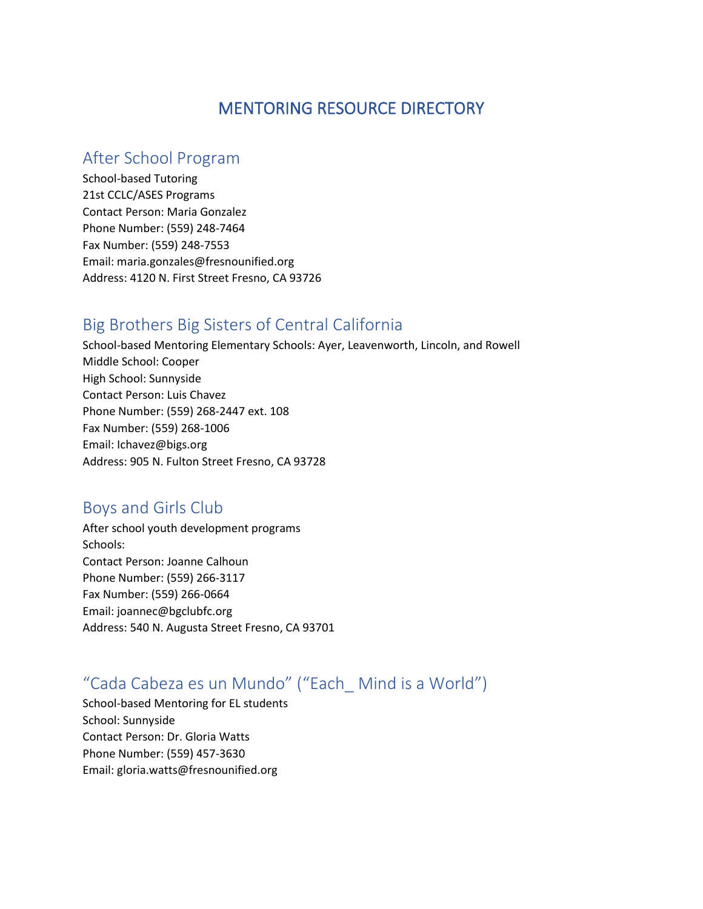## MENTORING RESOURCE DIRECTORY

#### After School Program

School-based Tutoring 21st CCLC/ASES Programs Contact Person: Maria Gonzalez Phone Number: (559) 248-7464 Fax Number: (559) 248-7553 Email: maria.gonzales@fresnounified.org Address: 4120 N. First Street Fresno, CA 93726

## Big Brothers Big Sisters of Central California

School-based Mentoring Elementary Schools: Ayer, Leavenworth, Lincoln, and Rowell Middle School: Cooper High School: Sunnyside Contact Person: Luis Chavez Phone Number: (559) 268-2447 ext. 108 Fax Number: (559) 268-1006 Email: Ichavez@bigs.org Address: 905 N. Fulton Street Fresno, CA 93728

#### Boys and Girls Club

After school youth development programs Schools: Contact Person: Joanne Calhoun Phone Number: (559) 266-3117 Fax Number: (559) 266-0664 Email: joannec@bgclubfc.org Address: 540 N. Augusta Street Fresno, CA 93701

# "Cada Cabeza es un Mundo" ("Each\_ Mind is a World")

School-based Mentoring for EL students School: Sunnyside Contact Person: Dr. Gloria Watts Phone Number: (559) 457-3630 Email: gloria.watts@fresnounified.org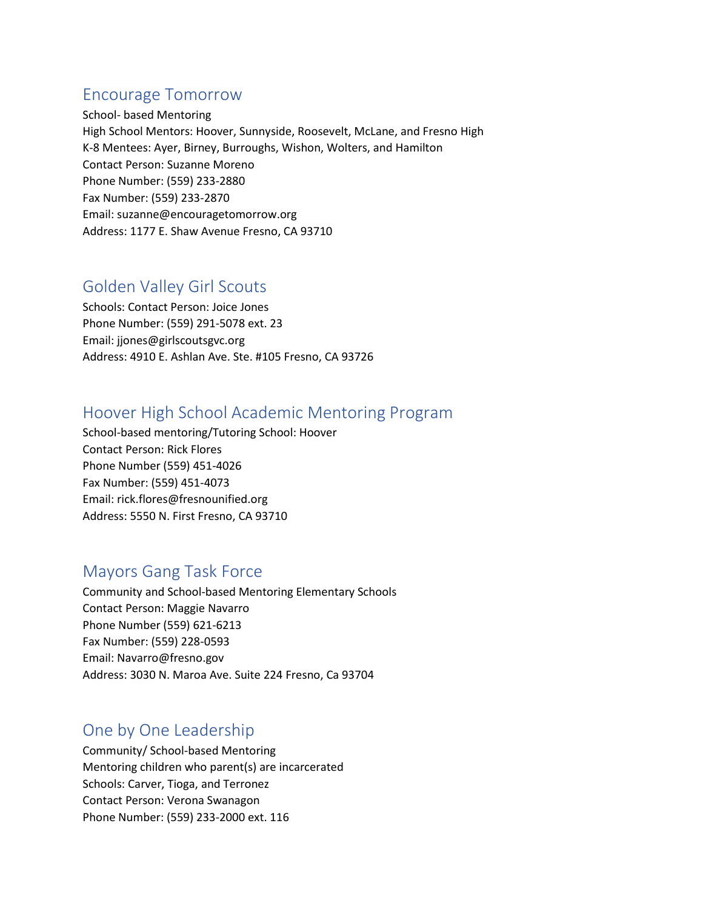## Encourage Tomorrow

School- based Mentoring High School Mentors: Hoover, Sunnyside, Roosevelt, McLane, and Fresno High K-8 Mentees: Ayer, Birney, Burroughs, Wishon, Wolters, and Hamilton Contact Person: Suzanne Moreno Phone Number: (559) 233-2880 Fax Number: (559) 233-2870 Email: suzanne@encouragetomorrow.org Address: 1177 E. Shaw Avenue Fresno, CA 93710

## Golden Valley Girl Scouts

Schools: Contact Person: Joice Jones Phone Number: (559) 291-5078 ext. 23 Email: jjones@girlscoutsgvc.org Address: 4910 E. Ashlan Ave. Ste. #105 Fresno, CA 93726

#### Hoover High School Academic Mentoring Program

School-based mentoring/Tutoring School: Hoover Contact Person: Rick Flores Phone Number (559) 451-4026 Fax Number: (559) 451-4073 Email: rick.flores@fresnounified.org Address: 5550 N. First Fresno, CA 93710

## Mayors Gang Task Force

Community and School-based Mentoring Elementary Schools Contact Person: Maggie Navarro Phone Number (559) 621-6213 Fax Number: (559) 228-0593 Email: Navarro@fresno.gov Address: 3030 N. Maroa Ave. Suite 224 Fresno, Ca 93704

## One by One Leadership

Community/ School-based Mentoring Mentoring children who parent(s) are incarcerated Schools: Carver, Tioga, and Terronez Contact Person: Verona Swanagon Phone Number: (559) 233-2000 ext. 116